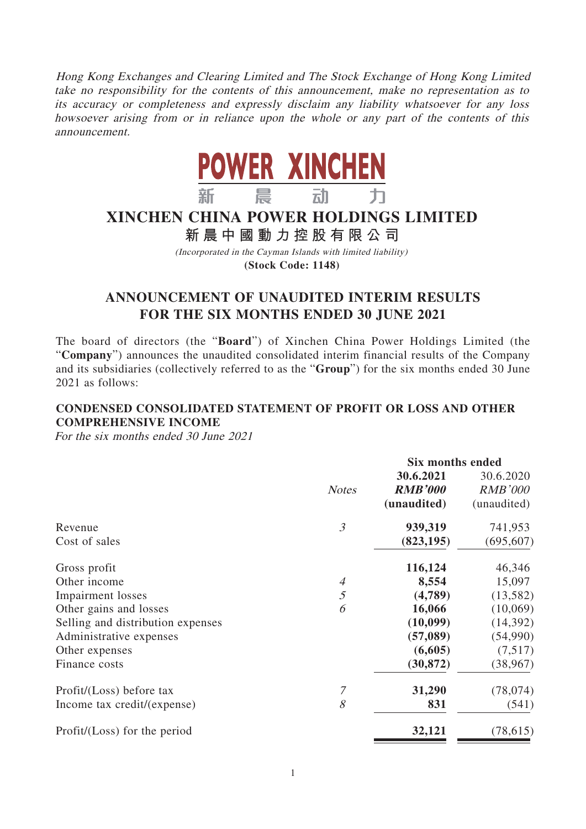Hong Kong Exchanges and Clearing Limited and The Stock Exchange of Hong Kong Limited take no responsibility for the contents of this announcement, make no representation as to its accuracy or completeness and expressly disclaim any liability whatsoever for any loss howsoever arising from or in reliance upon the whole or any part of the contents of this announcement.



# **XINCHEN CHINA POWER HOLDINGS LIMITED**

**新晨中國動力控股有限公 司**

(Incorporated in the Cayman Islands with limited liability) **(Stock Code: 1148)**

# **ANNOUNCEMENT OF UNAUDITED INTERIM RESULTS FOR THE SIX MONTHS ENDED 30 JUNE 2021**

The board of directors (the "**Board**") of Xinchen China Power Holdings Limited (the "**Company**") announces the unaudited consolidated interim financial results of the Company and its subsidiaries (collectively referred to as the "**Group**") for the six months ended 30 June 2021 as follows:

# **CONDENSED CONSOLIDATED STATEMENT OF PROFIT OR LOSS AND OTHER COMPREHENSIVE INCOME**

For the six months ended 30 June 2021

|                                   |                          |                | <b>Six months ended</b> |  |
|-----------------------------------|--------------------------|----------------|-------------------------|--|
|                                   |                          | 30.6.2021      | 30.6.2020               |  |
|                                   | <b>Notes</b>             | <b>RMB'000</b> | <b>RMB'000</b>          |  |
|                                   |                          | (unaudited)    | (unaudited)             |  |
| Revenue                           | 3                        | 939,319        | 741,953                 |  |
| Cost of sales                     |                          | (823, 195)     | (695, 607)              |  |
| Gross profit                      |                          | 116,124        | 46,346                  |  |
| Other income                      | $\overline{\mathcal{A}}$ | 8,554          | 15,097                  |  |
| <b>Impairment</b> losses          | 5                        | (4,789)        | (13,582)                |  |
| Other gains and losses            | 6                        | 16,066         | (10,069)                |  |
| Selling and distribution expenses |                          | (10,099)       | (14,392)                |  |
| Administrative expenses           |                          | (57, 089)      | (54,990)                |  |
| Other expenses                    |                          | (6,605)        | (7,517)                 |  |
| Finance costs                     |                          | (30, 872)      | (38, 967)               |  |
| Profit/(Loss) before tax          | 7                        | 31,290         | (78, 074)               |  |
| Income tax credit/(expense)       | 8                        | 831            | (541)                   |  |
| Profit/(Loss) for the period      |                          | 32,121         | (78, 615)               |  |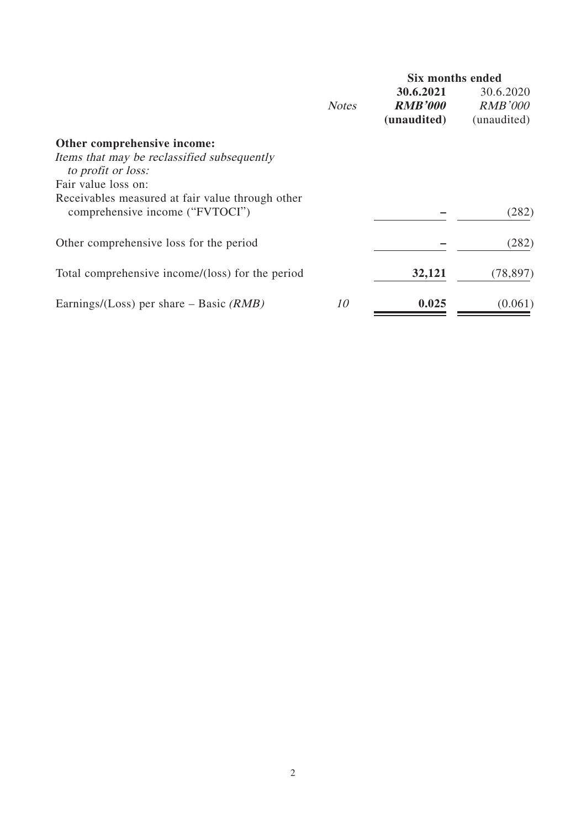|              | <b>Six months ended</b>     |                             |
|--------------|-----------------------------|-----------------------------|
| <b>Notes</b> | 30.6.2021<br><b>RMB'000</b> | 30.6.2020<br><i>RMB'000</i> |
|              | (unaudited)                 | (unaudited)                 |
|              |                             |                             |
|              |                             |                             |
|              |                             |                             |
|              |                             | (282)                       |
|              |                             | (282)                       |
|              | 32,121                      | (78, 897)                   |
| 10           | 0.025                       | (0.061)                     |
|              |                             |                             |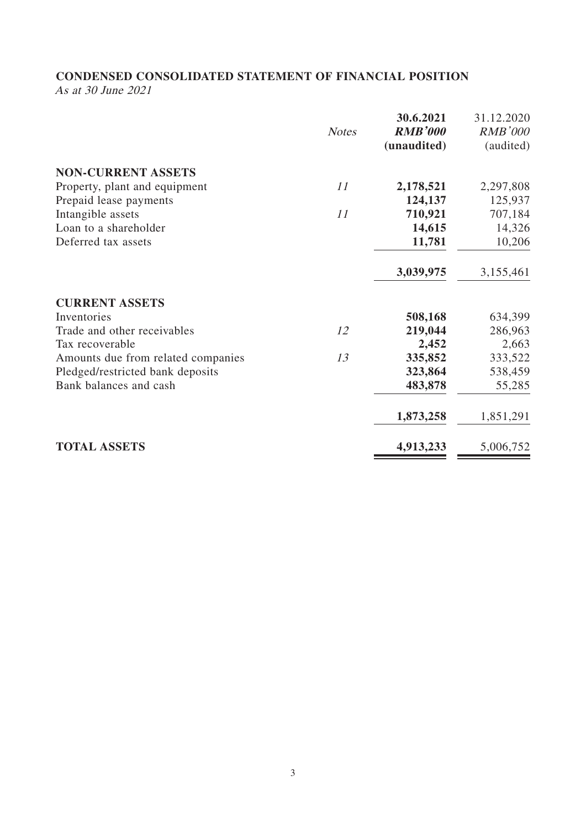# **CONDENSED CONSOLIDATED STATEMENT OF FINANCIAL POSITION**

As at 30 June 2021

|                                    | <b>Notes</b> | 30.6.2021<br><b>RMB'000</b><br>(unaudited) | 31.12.2020<br><b>RMB'000</b><br>(audited) |
|------------------------------------|--------------|--------------------------------------------|-------------------------------------------|
| <b>NON-CURRENT ASSETS</b>          |              |                                            |                                           |
| Property, plant and equipment      | 11           | 2,178,521                                  | 2,297,808                                 |
| Prepaid lease payments             |              | 124,137                                    | 125,937                                   |
| Intangible assets                  | 11           | 710,921                                    | 707,184                                   |
| Loan to a shareholder              |              | 14,615                                     | 14,326                                    |
| Deferred tax assets                |              | 11,781                                     | 10,206                                    |
|                                    |              | 3,039,975                                  | 3,155,461                                 |
| <b>CURRENT ASSETS</b>              |              |                                            |                                           |
| Inventories                        |              | 508,168                                    | 634,399                                   |
| Trade and other receivables        | 12           | 219,044                                    | 286,963                                   |
| Tax recoverable                    |              | 2,452                                      | 2,663                                     |
| Amounts due from related companies | 13           | 335,852                                    | 333,522                                   |
| Pledged/restricted bank deposits   |              | 323,864                                    | 538,459                                   |
| Bank balances and cash             |              | 483,878                                    | 55,285                                    |
|                                    |              | 1,873,258                                  | 1,851,291                                 |
| <b>TOTAL ASSETS</b>                |              | 4,913,233                                  | 5,006,752                                 |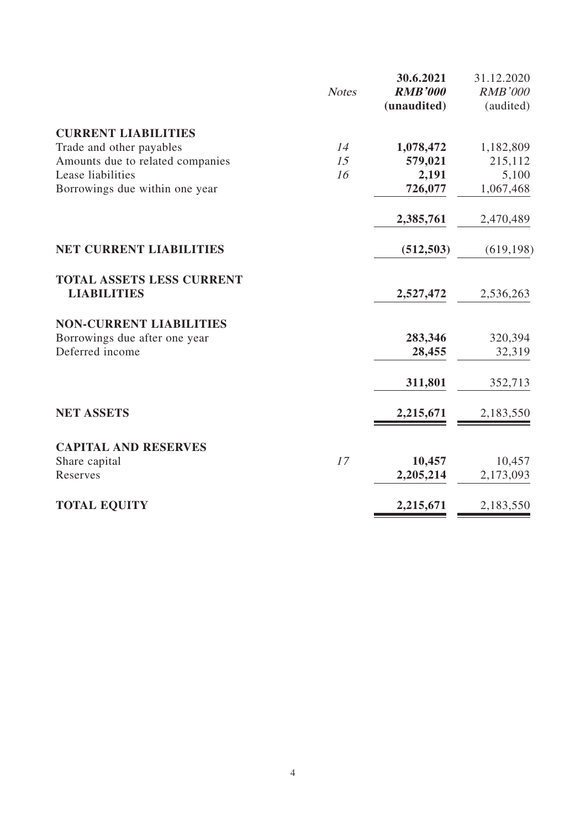|                                                        | <b>Notes</b> | 30.6.2021<br><b>RMB'000</b><br>(unaudited) | 31.12.2020<br><b>RMB'000</b><br>(audited) |
|--------------------------------------------------------|--------------|--------------------------------------------|-------------------------------------------|
| <b>CURRENT LIABILITIES</b>                             |              |                                            |                                           |
| Trade and other payables                               | 14           | 1,078,472                                  | 1,182,809                                 |
| Amounts due to related companies                       | 15           | 579,021                                    | 215,112                                   |
| Lease liabilities                                      | 16           | 2,191                                      | 5,100                                     |
| Borrowings due within one year                         |              | 726,077                                    | 1,067,468                                 |
|                                                        |              | 2,385,761                                  | 2,470,489                                 |
| <b>NET CURRENT LIABILITIES</b>                         |              | (512, 503)                                 | (619, 198)                                |
| <b>TOTAL ASSETS LESS CURRENT</b><br><b>LIABILITIES</b> |              | 2,527,472                                  | 2,536,263                                 |
| <b>NON-CURRENT LIABILITIES</b>                         |              |                                            |                                           |
| Borrowings due after one year                          |              | 283,346                                    | 320,394                                   |
| Deferred income                                        |              | 28,455                                     | 32,319                                    |
|                                                        |              | 311,801                                    | 352,713                                   |
| <b>NET ASSETS</b>                                      |              | 2,215,671                                  | 2,183,550                                 |
| <b>CAPITAL AND RESERVES</b>                            |              |                                            |                                           |
| Share capital                                          | 17           | 10,457                                     | 10,457                                    |
| Reserves                                               |              | 2,205,214                                  | 2,173,093                                 |
| <b>TOTAL EQUITY</b>                                    |              | 2,215,671                                  | 2,183,550                                 |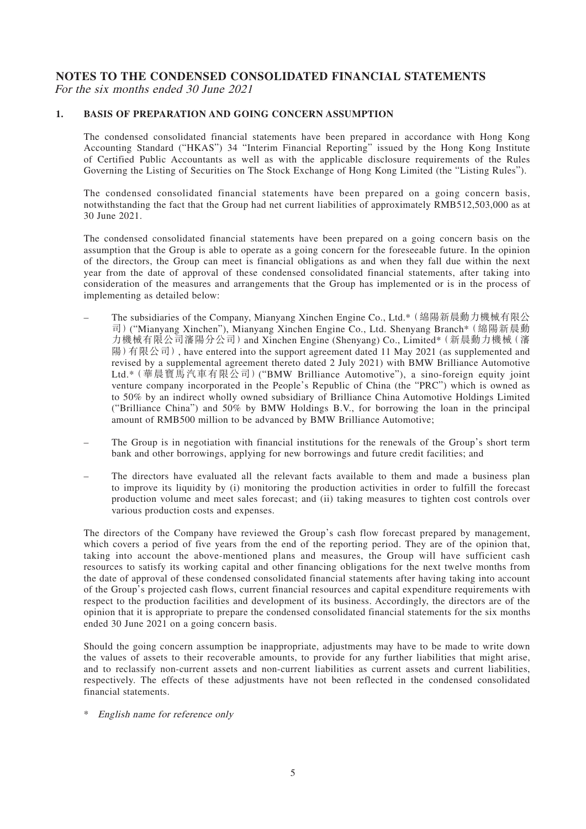### **NOTES TO THE CONDENSED CONSOLIDATED FINANCIAL STATEMENTS** For the six months ended 30 June 2021

#### **1. BASIS OF PREPARATION AND GOING CONCERN ASSUMPTION**

The condensed consolidated financial statements have been prepared in accordance with Hong Kong Accounting Standard ("HKAS") 34 "Interim Financial Reporting" issued by the Hong Kong Institute of Certified Public Accountants as well as with the applicable disclosure requirements of the Rules Governing the Listing of Securities on The Stock Exchange of Hong Kong Limited (the "Listing Rules").

The condensed consolidated financial statements have been prepared on a going concern basis, notwithstanding the fact that the Group had net current liabilities of approximately RMB512,503,000 as at 30 June 2021.

The condensed consolidated financial statements have been prepared on a going concern basis on the assumption that the Group is able to operate as a going concern for the foreseeable future. In the opinion of the directors, the Group can meet is financial obligations as and when they fall due within the next year from the date of approval of these condensed consolidated financial statements, after taking into consideration of the measures and arrangements that the Group has implemented or is in the process of implementing as detailed below:

- The subsidiaries of the Company, Mianyang Xinchen Engine Co., Ltd.\*(綿陽新晨動力機械有限公 司)("Mianyang Xinchen"), Mianyang Xinchen Engine Co., Ltd. Shenyang Branch\*(綿陽新晨動 力機械有限公司瀋陽分公司)and Xinchen Engine (Shenyang) Co., Limited\*(新晨動力機械(瀋 陽)有限公司), have entered into the support agreement dated 11 May 2021 (as supplemented and revised by a supplemental agreement thereto dated 2 July 2021) with BMW Brilliance Automotive Ltd.\*(華晨寶馬汽車有限公司)("BMW Brilliance Automotive"), a sino-foreign equity joint venture company incorporated in the People's Republic of China (the "PRC") which is owned as to 50% by an indirect wholly owned subsidiary of Brilliance China Automotive Holdings Limited ("Brilliance China") and 50% by BMW Holdings B.V., for borrowing the loan in the principal amount of RMB500 million to be advanced by BMW Brilliance Automotive;
- The Group is in negotiation with financial institutions for the renewals of the Group's short term bank and other borrowings, applying for new borrowings and future credit facilities; and
- The directors have evaluated all the relevant facts available to them and made a business plan to improve its liquidity by (i) monitoring the production activities in order to fulfill the forecast production volume and meet sales forecast; and (ii) taking measures to tighten cost controls over various production costs and expenses.

The directors of the Company have reviewed the Group's cash flow forecast prepared by management, which covers a period of five years from the end of the reporting period. They are of the opinion that, taking into account the above-mentioned plans and measures, the Group will have sufficient cash resources to satisfy its working capital and other financing obligations for the next twelve months from the date of approval of these condensed consolidated financial statements after having taking into account of the Group's projected cash flows, current financial resources and capital expenditure requirements with respect to the production facilities and development of its business. Accordingly, the directors are of the opinion that it is appropriate to prepare the condensed consolidated financial statements for the six months ended 30 June 2021 on a going concern basis.

Should the going concern assumption be inappropriate, adjustments may have to be made to write down the values of assets to their recoverable amounts, to provide for any further liabilities that might arise, and to reclassify non-current assets and non-current liabilities as current assets and current liabilities, respectively. The effects of these adjustments have not been reflected in the condensed consolidated financial statements.

\* English name for reference only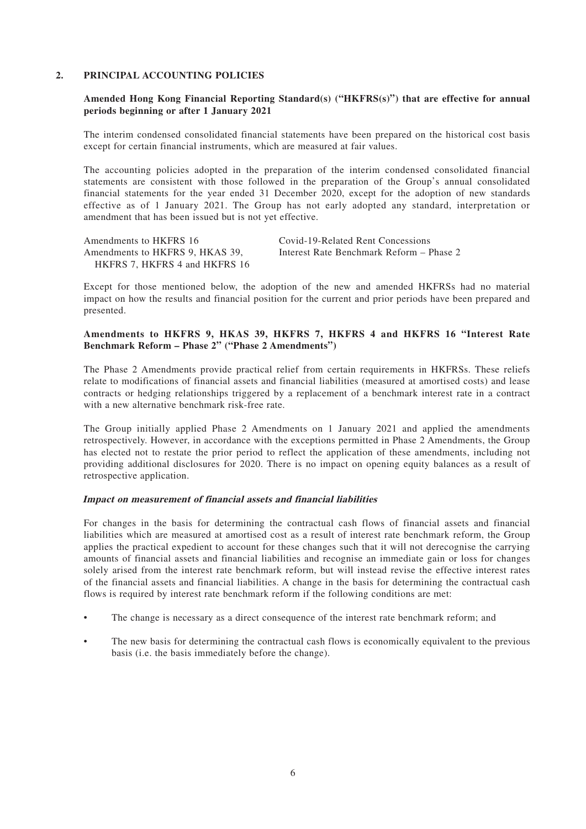#### **2. PRINCIPAL ACCOUNTING POLICIES**

#### **Amended Hong Kong Financial Reporting Standard(s) ("HKFRS(s)") that are effective for annual periods beginning or after 1 January 2021**

The interim condensed consolidated financial statements have been prepared on the historical cost basis except for certain financial instruments, which are measured at fair values.

The accounting policies adopted in the preparation of the interim condensed consolidated financial statements are consistent with those followed in the preparation of the Group's annual consolidated financial statements for the year ended 31 December 2020, except for the adoption of new standards effective as of 1 January 2021. The Group has not early adopted any standard, interpretation or amendment that has been issued but is not yet effective.

| Amendments to HKFRS 16          | Covid-19-Related Rent Concessions        |
|---------------------------------|------------------------------------------|
| Amendments to HKFRS 9, HKAS 39, | Interest Rate Benchmark Reform – Phase 2 |
| HKFRS 7, HKFRS 4 and HKFRS 16   |                                          |

Except for those mentioned below, the adoption of the new and amended HKFRSs had no material impact on how the results and financial position for the current and prior periods have been prepared and presented.

#### **Amendments to HKFRS 9, HKAS 39, HKFRS 7, HKFRS 4 and HKFRS 16 "Interest Rate Benchmark Reform – Phase 2" ("Phase 2 Amendments")**

The Phase 2 Amendments provide practical relief from certain requirements in HKFRSs. These reliefs relate to modifications of financial assets and financial liabilities (measured at amortised costs) and lease contracts or hedging relationships triggered by a replacement of a benchmark interest rate in a contract with a new alternative benchmark risk-free rate.

The Group initially applied Phase 2 Amendments on 1 January 2021 and applied the amendments retrospectively. However, in accordance with the exceptions permitted in Phase 2 Amendments, the Group has elected not to restate the prior period to reflect the application of these amendments, including not providing additional disclosures for 2020. There is no impact on opening equity balances as a result of retrospective application.

#### **Impact on measurement of financial assets and financial liabilities**

For changes in the basis for determining the contractual cash flows of financial assets and financial liabilities which are measured at amortised cost as a result of interest rate benchmark reform, the Group applies the practical expedient to account for these changes such that it will not derecognise the carrying amounts of financial assets and financial liabilities and recognise an immediate gain or loss for changes solely arised from the interest rate benchmark reform, but will instead revise the effective interest rates of the financial assets and financial liabilities. A change in the basis for determining the contractual cash flows is required by interest rate benchmark reform if the following conditions are met:

- The change is necessary as a direct consequence of the interest rate benchmark reform; and
- The new basis for determining the contractual cash flows is economically equivalent to the previous basis (i.e. the basis immediately before the change).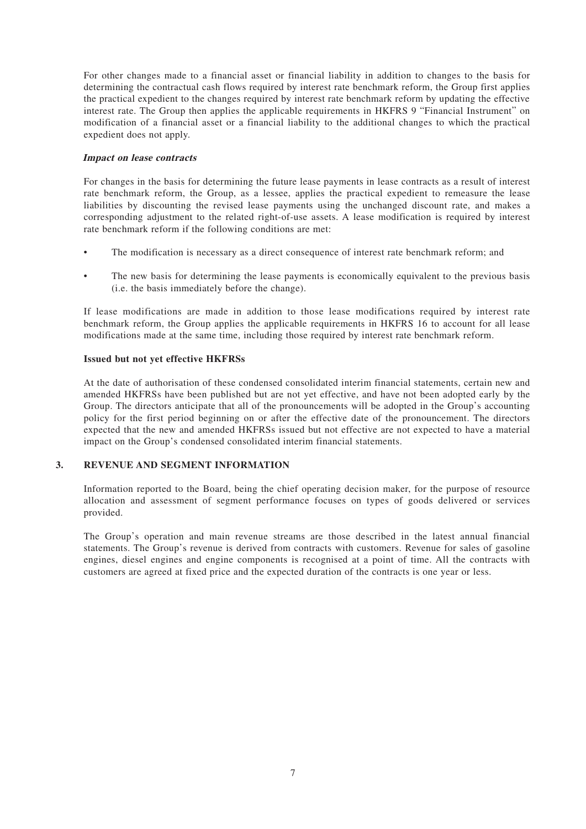For other changes made to a financial asset or financial liability in addition to changes to the basis for determining the contractual cash flows required by interest rate benchmark reform, the Group first applies the practical expedient to the changes required by interest rate benchmark reform by updating the effective interest rate. The Group then applies the applicable requirements in HKFRS 9 "Financial Instrument" on modification of a financial asset or a financial liability to the additional changes to which the practical expedient does not apply.

#### **Impact on lease contracts**

For changes in the basis for determining the future lease payments in lease contracts as a result of interest rate benchmark reform, the Group, as a lessee, applies the practical expedient to remeasure the lease liabilities by discounting the revised lease payments using the unchanged discount rate, and makes a corresponding adjustment to the related right-of-use assets. A lease modification is required by interest rate benchmark reform if the following conditions are met:

- The modification is necessary as a direct consequence of interest rate benchmark reform; and
- The new basis for determining the lease payments is economically equivalent to the previous basis (i.e. the basis immediately before the change).

If lease modifications are made in addition to those lease modifications required by interest rate benchmark reform, the Group applies the applicable requirements in HKFRS 16 to account for all lease modifications made at the same time, including those required by interest rate benchmark reform.

### **Issued but not yet effective HKFRSs**

At the date of authorisation of these condensed consolidated interim financial statements, certain new and amended HKFRSs have been published but are not yet effective, and have not been adopted early by the Group. The directors anticipate that all of the pronouncements will be adopted in the Group's accounting policy for the first period beginning on or after the effective date of the pronouncement. The directors expected that the new and amended HKFRSs issued but not effective are not expected to have a material impact on the Group's condensed consolidated interim financial statements.

### **3. REVENUE AND SEGMENT INFORMATION**

Information reported to the Board, being the chief operating decision maker, for the purpose of resource allocation and assessment of segment performance focuses on types of goods delivered or services provided.

The Group's operation and main revenue streams are those described in the latest annual financial statements. The Group's revenue is derived from contracts with customers. Revenue for sales of gasoline engines, diesel engines and engine components is recognised at a point of time. All the contracts with customers are agreed at fixed price and the expected duration of the contracts is one year or less.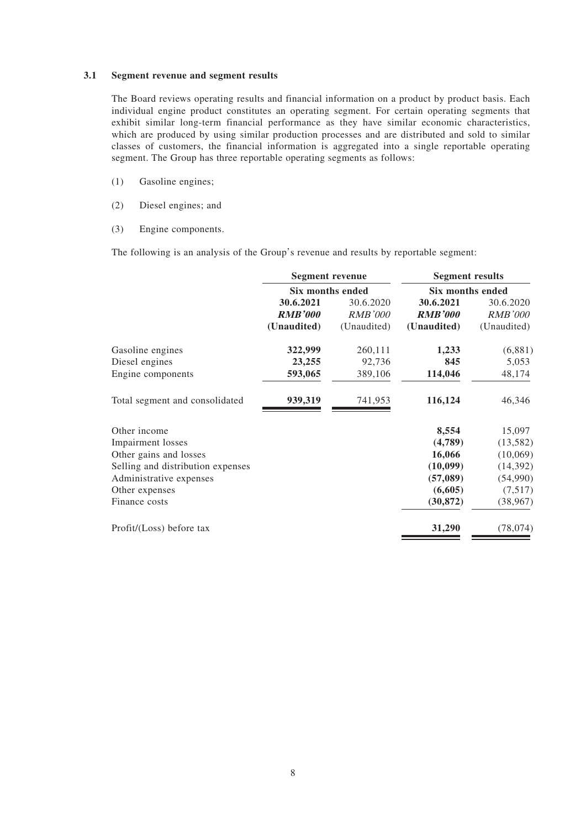#### **3.1 Segment revenue and segment results**

The Board reviews operating results and financial information on a product by product basis. Each individual engine product constitutes an operating segment. For certain operating segments that exhibit similar long-term financial performance as they have similar economic characteristics, which are produced by using similar production processes and are distributed and sold to similar classes of customers, the financial information is aggregated into a single reportable operating segment. The Group has three reportable operating segments as follows:

- (1) Gasoline engines;
- (2) Diesel engines; and
- (3) Engine components.

The following is an analysis of the Group's revenue and results by reportable segment:

|                                   | <b>Segment revenue</b><br>Six months ended |                | <b>Segment results</b><br>Six months ended |                |
|-----------------------------------|--------------------------------------------|----------------|--------------------------------------------|----------------|
|                                   |                                            |                |                                            |                |
|                                   | 30.6.2021                                  | 30.6.2020      | 30.6.2021                                  | 30.6.2020      |
|                                   | <b>RMB'000</b>                             | <i>RMB'000</i> | <b>RMB'000</b>                             | <i>RMB'000</i> |
|                                   | (Unaudited)                                | (Unaudited)    | (Unaudited)                                | (Unaudited)    |
| Gasoline engines                  | 322,999                                    | 260,111        | 1,233                                      | (6,881)        |
| Diesel engines                    | 23,255                                     | 92,736         | 845                                        | 5,053          |
| Engine components                 | 593,065                                    | 389,106        | 114,046                                    | 48,174         |
| Total segment and consolidated    | 939,319                                    | 741,953        | 116,124                                    | 46,346         |
| Other income                      |                                            |                | 8,554                                      | 15,097         |
| <b>Impairment</b> losses          |                                            |                | (4,789)                                    | (13, 582)      |
| Other gains and losses            |                                            |                | 16,066                                     | (10,069)       |
| Selling and distribution expenses |                                            |                | (10,099)                                   | (14, 392)      |
| Administrative expenses           |                                            |                | (57,089)                                   | (54,990)       |
| Other expenses                    |                                            |                | (6,605)                                    | (7,517)        |
| Finance costs                     |                                            |                | (30, 872)                                  | (38, 967)      |
| Profit/(Loss) before tax          |                                            |                | 31,290                                     | (78, 074)      |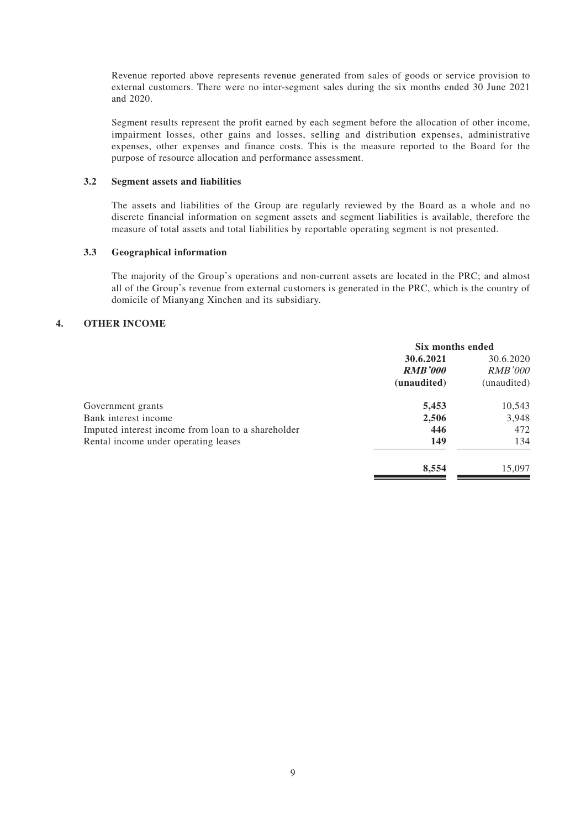Revenue reported above represents revenue generated from sales of goods or service provision to external customers. There were no inter-segment sales during the six months ended 30 June 2021 and 2020.

Segment results represent the profit earned by each segment before the allocation of other income, impairment losses, other gains and losses, selling and distribution expenses, administrative expenses, other expenses and finance costs. This is the measure reported to the Board for the purpose of resource allocation and performance assessment.

#### **3.2 Segment assets and liabilities**

The assets and liabilities of the Group are regularly reviewed by the Board as a whole and no discrete financial information on segment assets and segment liabilities is available, therefore the measure of total assets and total liabilities by reportable operating segment is not presented.

### **3.3 Geographical information**

The majority of the Group's operations and non-current assets are located in the PRC; and almost all of the Group's revenue from external customers is generated in the PRC, which is the country of domicile of Mianyang Xinchen and its subsidiary.

#### **4. OTHER INCOME**

|                                                    | Six months ended |                |
|----------------------------------------------------|------------------|----------------|
|                                                    | 30.6.2021        | 30.6.2020      |
|                                                    | <b>RMB'000</b>   | <i>RMB'000</i> |
|                                                    | (unaudited)      | (unaudited)    |
| Government grants                                  | 5,453            | 10,543         |
| Bank interest income                               | 2,506            | 3,948          |
| Imputed interest income from loan to a shareholder | 446              | 472            |
| Rental income under operating leases               | 149              | 134            |
|                                                    | 8,554            | 15,097         |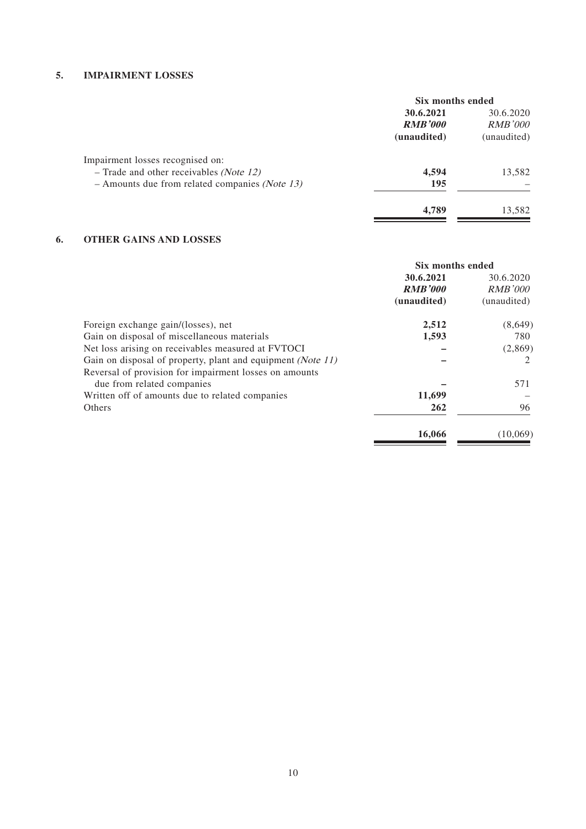### **5. IMPAIRMENT LOSSES**

|                                                           | Six months ended |                |
|-----------------------------------------------------------|------------------|----------------|
|                                                           | 30.6.2021        | 30.6.2020      |
|                                                           | <b>RMB'000</b>   | <b>RMB'000</b> |
|                                                           | (unaudited)      | (unaudited)    |
| Impairment losses recognised on:                          |                  |                |
| $-$ Trade and other receivables <i>(Note 12)</i>          | 4,594            | 13,582         |
| $-$ Amounts due from related companies ( <i>Note 13</i> ) | 195              |                |
|                                                           | 4,789            | 13,582         |
|                                                           |                  |                |

## **6. OTHER GAINS AND LOSSES**

|                                                             | Six months ended |                |
|-------------------------------------------------------------|------------------|----------------|
|                                                             | 30.6.2021        | 30.6.2020      |
|                                                             | <b>RMB'000</b>   | <i>RMB'000</i> |
|                                                             | (unaudited)      | (unaudited)    |
| Foreign exchange gain/(losses), net                         | 2,512            | (8,649)        |
| Gain on disposal of miscellaneous materials                 | 1,593            | 780            |
| Net loss arising on receivables measured at FVTOCI          |                  | (2,869)        |
| Gain on disposal of property, plant and equipment (Note 11) |                  | 2              |
| Reversal of provision for impairment losses on amounts      |                  |                |
| due from related companies                                  |                  | 571            |
| Written off of amounts due to related companies             | 11,699           |                |
| Others                                                      | 262              | 96             |
|                                                             | 16,066           | (10,069)       |

 $\equiv$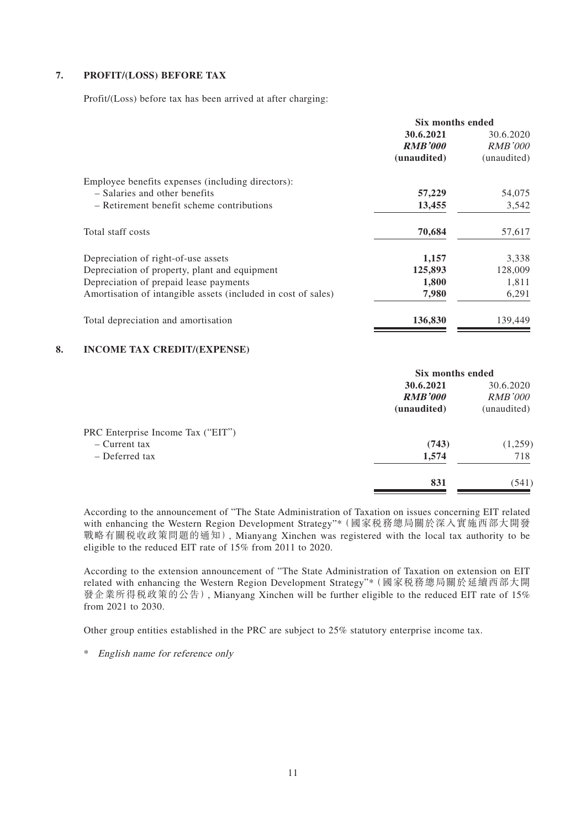### **7. PROFIT/(LOSS) BEFORE TAX**

Profit/(Loss) before tax has been arrived at after charging:

|                                                               | Six months ended |                |
|---------------------------------------------------------------|------------------|----------------|
|                                                               | 30.6.2021        | 30.6.2020      |
|                                                               | <b>RMB'000</b>   | <b>RMB'000</b> |
|                                                               | (unaudited)      | (unaudited)    |
| Employee benefits expenses (including directors):             |                  |                |
| - Salaries and other benefits                                 | 57,229           | 54,075         |
| - Retirement benefit scheme contributions                     | 13,455           | 3,542          |
| Total staff costs                                             | 70,684           | 57,617         |
| Depreciation of right-of-use assets                           | 1,157            | 3,338          |
| Depreciation of property, plant and equipment                 | 125,893          | 128,009        |
| Depreciation of prepaid lease payments                        | 1,800            | 1,811          |
| Amortisation of intangible assets (included in cost of sales) | 7,980            | 6,291          |
| Total depreciation and amortisation                           | 136,830          | 139,449        |

#### **8. INCOME TAX CREDIT/(EXPENSE)**

| 30.6.2020<br><b>RMB'000</b> |
|-----------------------------|
|                             |
|                             |
| (unaudited)                 |
|                             |
| (1,259)                     |
| 718                         |
| (541)                       |
|                             |

According to the announcement of "The State Administration of Taxation on issues concerning EIT related with enhancing the Western Region Development Strategy"\*(國家稅務總局關於深入實施西部大開發 戰略有關稅收政策問題的通知), Mianyang Xinchen was registered with the local tax authority to be eligible to the reduced EIT rate of 15% from 2011 to 2020.

According to the extension announcement of "The State Administration of Taxation on extension on EIT related with enhancing the Western Region Development Strategy"\*(國家稅務總局關於延續西部大開 發企業所得稅政策的公告), Mianyang Xinchen will be further eligible to the reduced EIT rate of 15% from 2021 to 2030.

Other group entities established in the PRC are subject to 25% statutory enterprise income tax.

\* English name for reference only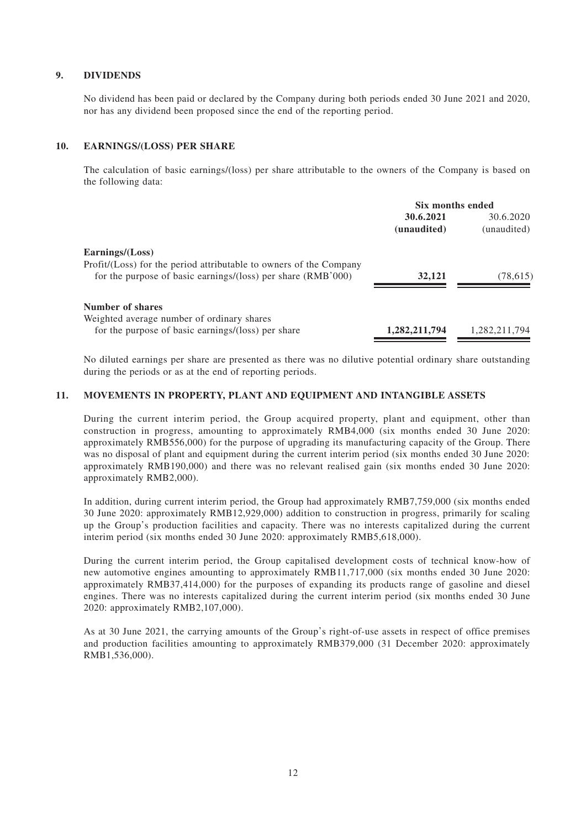### **9. DIVIDENDS**

No dividend has been paid or declared by the Company during both periods ended 30 June 2021 and 2020, nor has any dividend been proposed since the end of the reporting period.

#### **10. EARNINGS/(LOSS) PER SHARE**

The calculation of basic earnings/(loss) per share attributable to the owners of the Company is based on the following data:

|                                                                    | Six months ended |               |  |
|--------------------------------------------------------------------|------------------|---------------|--|
|                                                                    | 30.6.2021        | 30.6.2020     |  |
|                                                                    | (unaudited)      | (unaudited)   |  |
| Earnings/(Loss)                                                    |                  |               |  |
| Profit/(Loss) for the period attributable to owners of the Company |                  |               |  |
| for the purpose of basic earnings/(loss) per share (RMB'000)       | 32,121           | (78,615)      |  |
| Number of shares                                                   |                  |               |  |
| Weighted average number of ordinary shares                         |                  |               |  |
| for the purpose of basic earnings/(loss) per share                 | 1,282,211,794    | 1,282,211,794 |  |

No diluted earnings per share are presented as there was no dilutive potential ordinary share outstanding during the periods or as at the end of reporting periods.

#### **11. MOVEMENTS IN PROPERTY, PLANT AND EQUIPMENT AND INTANGIBLE ASSETS**

During the current interim period, the Group acquired property, plant and equipment, other than construction in progress, amounting to approximately RMB4,000 (six months ended 30 June 2020: approximately RMB556,000) for the purpose of upgrading its manufacturing capacity of the Group. There was no disposal of plant and equipment during the current interim period (six months ended 30 June 2020: approximately RMB190,000) and there was no relevant realised gain (six months ended 30 June 2020: approximately RMB2,000).

In addition, during current interim period, the Group had approximately RMB7,759,000 (six months ended 30 June 2020: approximately RMB12,929,000) addition to construction in progress, primarily for scaling up the Group's production facilities and capacity. There was no interests capitalized during the current interim period (six months ended 30 June 2020: approximately RMB5,618,000).

During the current interim period, the Group capitalised development costs of technical know-how of new automotive engines amounting to approximately RMB11,717,000 (six months ended 30 June 2020: approximately RMB37,414,000) for the purposes of expanding its products range of gasoline and diesel engines. There was no interests capitalized during the current interim period (six months ended 30 June 2020: approximately RMB2,107,000).

As at 30 June 2021, the carrying amounts of the Group's right-of-use assets in respect of office premises and production facilities amounting to approximately RMB379,000 (31 December 2020: approximately RMB1,536,000).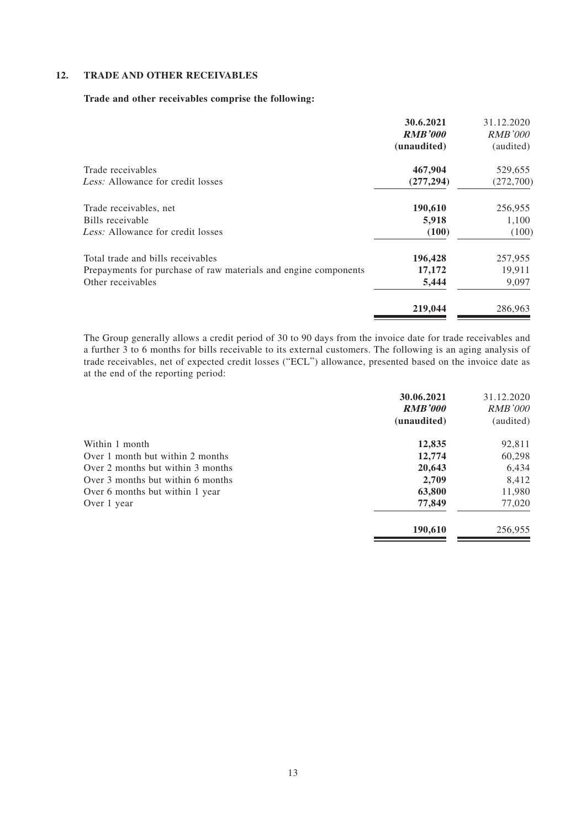### **12. TRADE AND OTHER RECEIVABLES**

#### **Trade and other receivables comprise the following:**

|                                                                 | 30.6.2021<br><b>RMB'000</b><br>(unaudited) | 31.12.2020<br><i>RMB'000</i><br>(audited) |
|-----------------------------------------------------------------|--------------------------------------------|-------------------------------------------|
| Trade receivables                                               | 467,904                                    | 529,655                                   |
| Less: Allowance for credit losses                               | (277, 294)                                 | (272,700)                                 |
| Trade receivables, net                                          | 190,610                                    | 256,955                                   |
| Bills receivable                                                | 5,918                                      | 1,100                                     |
| Less: Allowance for credit losses                               | (100)                                      | (100)                                     |
| Total trade and bills receivables                               | 196,428                                    | 257,955                                   |
| Prepayments for purchase of raw materials and engine components | 17,172                                     | 19,911                                    |
| Other receivables                                               | 5,444                                      | 9,097                                     |
|                                                                 | 219,044                                    | 286,963                                   |

The Group generally allows a credit period of 30 to 90 days from the invoice date for trade receivables and a further 3 to 6 months for bills receivable to its external customers. The following is an aging analysis of trade receivables, net of expected credit losses ("ECL") allowance, presented based on the invoice date as at the end of the reporting period:

|                                   | 30.06.2021     | 31.12.2020     |
|-----------------------------------|----------------|----------------|
|                                   | <b>RMB'000</b> | <i>RMB'000</i> |
|                                   | (unaudited)    | (audited)      |
| Within 1 month                    | 12,835         | 92,811         |
| Over 1 month but within 2 months  | 12,774         | 60,298         |
| Over 2 months but within 3 months | 20,643         | 6,434          |
| Over 3 months but within 6 months | 2,709          | 8,412          |
| Over 6 months but within 1 year   | 63,800         | 11,980         |
| Over 1 year                       | 77,849         | 77,020         |
|                                   | 190,610        | 256,955        |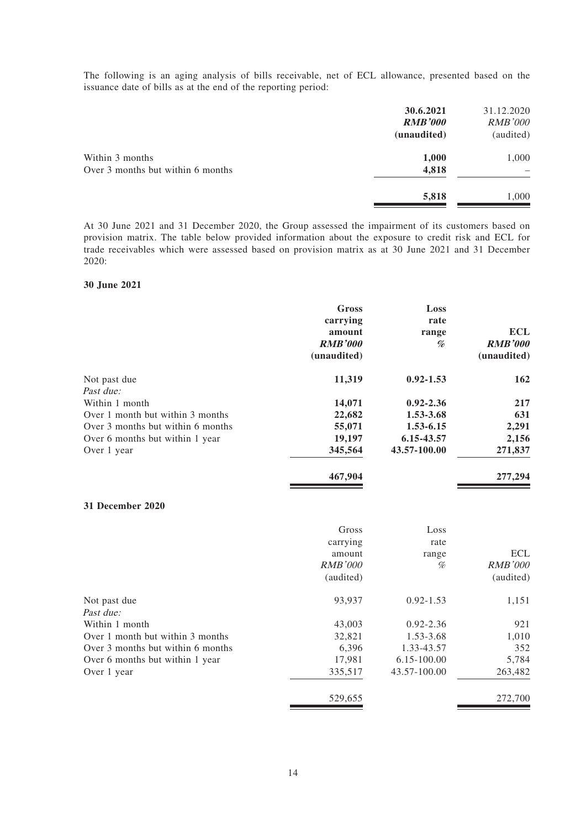The following is an aging analysis of bills receivable, net of ECL allowance, presented based on the issuance date of bills as at the end of the reporting period:

| 30.6.2021<br><b>RMB'000</b><br>(unaudited) | 31.12.2020<br><b>RMB'000</b><br>(audited) |
|--------------------------------------------|-------------------------------------------|
|                                            | 1,000                                     |
| 4,818                                      | -                                         |
| 5,818                                      | 1,000                                     |
|                                            | 1,000                                     |

At 30 June 2021 and 31 December 2020, the Group assessed the impairment of its customers based on provision matrix. The table below provided information about the exposure to credit risk and ECL for trade receivables which were assessed based on provision matrix as at 30 June 2021 and 31 December 2020:

#### **30 June 2021**

|                                   | Gross          | Loss          |                |
|-----------------------------------|----------------|---------------|----------------|
|                                   | carrying       | rate          |                |
|                                   | amount         | range         | <b>ECL</b>     |
|                                   | <b>RMB'000</b> | %             | <b>RMB'000</b> |
|                                   | (unaudited)    |               | (unaudited)    |
| Not past due                      | 11,319         | $0.92 - 1.53$ | 162            |
| Past due:                         |                |               |                |
| Within 1 month                    | 14,071         | $0.92 - 2.36$ | 217            |
| Over 1 month but within 3 months  | 22,682         | 1.53-3.68     | 631            |
| Over 3 months but within 6 months | 55,071         | 1.53-6.15     | 2,291          |
| Over 6 months but within 1 year   | 19,197         | 6.15-43.57    | 2,156          |
| Over 1 year                       | 345,564        | 43.57-100.00  | 271,837        |
|                                   | 467,904        |               | 277,294        |
| 31 December 2020                  |                |               |                |
|                                   | Gross          | Loss          |                |
|                                   | carrying       | rate          |                |
|                                   | amount         | range         | <b>ECL</b>     |
|                                   | <b>RMB'000</b> | %             | <b>RMB'000</b> |
|                                   | (audited)      |               | (audited)      |
| Not past due                      | 93,937         | $0.92 - 1.53$ | 1,151          |
| Past due:                         |                |               |                |
| Within 1 month                    | 43,003         | $0.92 - 2.36$ | 921            |
| Over 1 month but within 3 months  | 32,821         | 1.53-3.68     | 1,010          |
| Over 3 months but within 6 months | 6,396          | 1.33-43.57    | 352            |
| Over 6 months but within 1 year   | 17,981         | 6.15-100.00   | 5,784          |
| Over 1 year                       | 335,517        | 43.57-100.00  | 263,482        |

529,655 272,700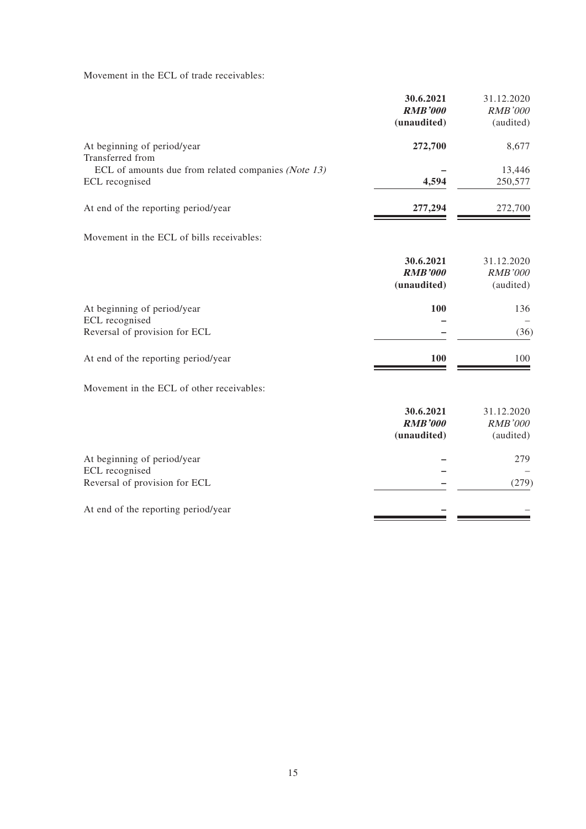Movement in the ECL of trade receivables:

|                                                     | 30.6.2021                                  | 31.12.2020                                |
|-----------------------------------------------------|--------------------------------------------|-------------------------------------------|
|                                                     | <b>RMB'000</b>                             | <b>RMB'000</b>                            |
|                                                     | (unaudited)                                | (audited)                                 |
| At beginning of period/year<br>Transferred from     | 272,700                                    | 8,677                                     |
| ECL of amounts due from related companies (Note 13) |                                            | 13,446                                    |
| ECL recognised                                      | 4,594                                      | 250,577                                   |
| At end of the reporting period/year                 | 277,294                                    | 272,700                                   |
| Movement in the ECL of bills receivables:           |                                            |                                           |
|                                                     | 30.6.2021<br><b>RMB'000</b><br>(unaudited) | 31.12.2020<br><b>RMB'000</b><br>(audited) |
| At beginning of period/year                         | 100                                        | 136                                       |
| ECL recognised                                      |                                            |                                           |
| Reversal of provision for ECL                       |                                            | (36)                                      |
| At end of the reporting period/year                 | 100                                        | 100                                       |
| Movement in the ECL of other receivables:           |                                            |                                           |
|                                                     | 30.6.2021<br><b>RMB'000</b><br>(unaudited) | 31.12.2020<br><b>RMB'000</b><br>(audited) |
| At beginning of period/year                         |                                            | 279                                       |
| ECL recognised                                      |                                            |                                           |
| Reversal of provision for ECL                       |                                            | (279)                                     |
| At end of the reporting period/year                 |                                            |                                           |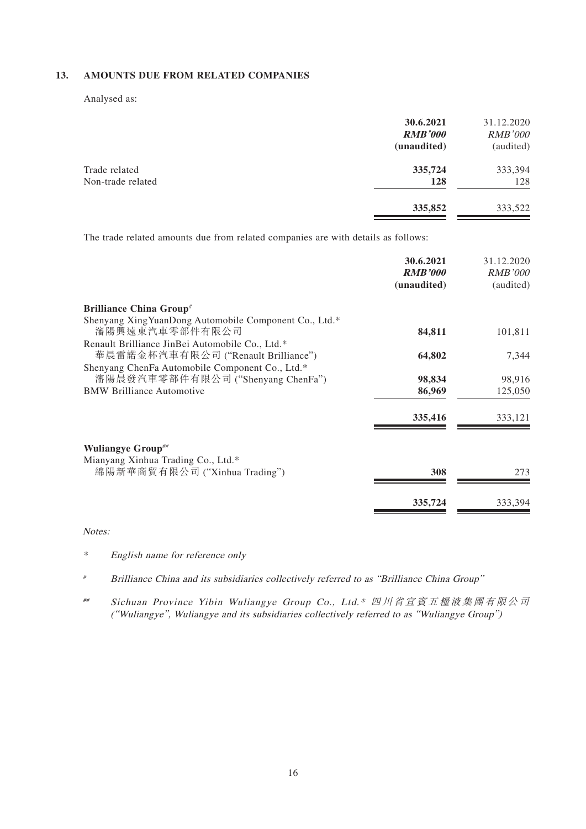### **13. AMOUNTS DUE FROM RELATED COMPANIES**

Analysed as:

|                                    | 30.6.2021<br><b>RMB'000</b> | 31.12.2020<br><i>RMB'000</i> |
|------------------------------------|-----------------------------|------------------------------|
|                                    | (unaudited)                 | (audited)                    |
| Trade related<br>Non-trade related | 335,724<br>128              | 333,394<br>128               |
|                                    | 335,852                     | 333,522                      |

The trade related amounts due from related companies are with details as follows:

|                                                                                        | 30.6.2021<br><b>RMB'000</b><br>(unaudited) | 31.12.2020<br><b>RMB'000</b><br>(audited) |
|----------------------------------------------------------------------------------------|--------------------------------------------|-------------------------------------------|
| <b>Brilliance China Group#</b>                                                         |                                            |                                           |
| Shenyang Xing YuanDong Automobile Component Co., Ltd.*<br>瀋陽興遠東汽車零部件有限公司               | 84,811                                     | 101,811                                   |
| Renault Brilliance JinBei Automobile Co., Ltd.*<br>華晨雷諾金杯汽車有限公司 ("Renault Brilliance") | 64,802                                     | 7,344                                     |
| Shenyang ChenFa Automobile Component Co., Ltd.*<br>瀋陽晨發汽車零部件有限公司 ("Shenyang ChenFa")   | 98,834                                     | 98,916                                    |
| <b>BMW Brilliance Automotive</b>                                                       | 86,969                                     | 125,050                                   |
|                                                                                        | 335,416                                    | 333,121                                   |
| <b>Wuliangye Group</b> ##                                                              |                                            |                                           |
| Mianyang Xinhua Trading Co., Ltd.*<br>綿陽新華商貿有限公司 ("Xinhua Trading")                    | 308                                        | 273                                       |
|                                                                                        | 335,724                                    | 333,394                                   |

Notes:

\* English name for reference only

# Brilliance China and its subsidiaries collectively referred to as "Brilliance China Group"

## Sichuan Province Yibin Wuliangye Group Co., Ltd.\* 四川省宜賓五糧液集團有限公司 ("Wuliangye", Wuliangye and its subsidiaries collectively referred to as "Wuliangye Group")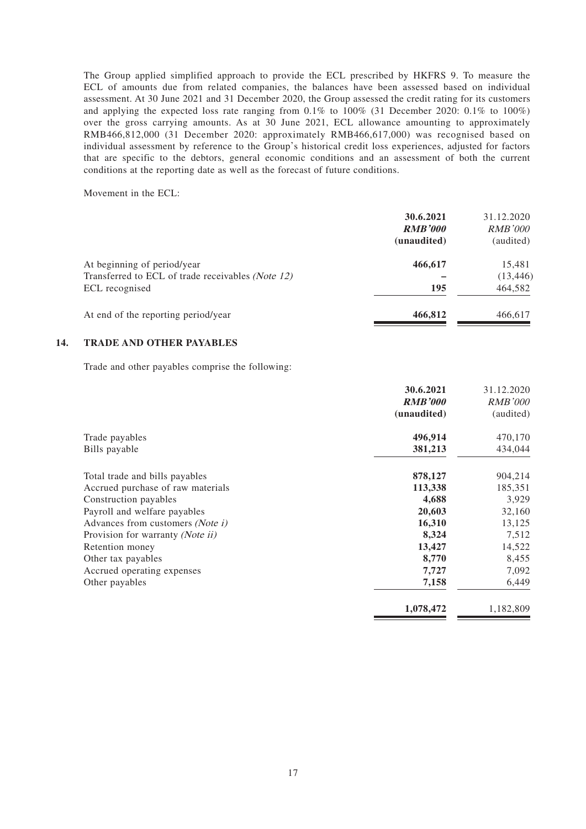The Group applied simplified approach to provide the ECL prescribed by HKFRS 9. To measure the ECL of amounts due from related companies, the balances have been assessed based on individual assessment. At 30 June 2021 and 31 December 2020, the Group assessed the credit rating for its customers and applying the expected loss rate ranging from 0.1% to 100% (31 December 2020: 0.1% to 100%) over the gross carrying amounts. As at 30 June 2021, ECL allowance amounting to approximately RMB466,812,000 (31 December 2020: approximately RMB466,617,000) was recognised based on individual assessment by reference to the Group's historical credit loss experiences, adjusted for factors that are specific to the debtors, general economic conditions and an assessment of both the current conditions at the reporting date as well as the forecast of future conditions.

Movement in the ECL:

|                                                   | 30.6.2021      | 31.12.2020     |
|---------------------------------------------------|----------------|----------------|
|                                                   | <b>RMB'000</b> | <i>RMB'000</i> |
|                                                   | (unaudited)    | (audited)      |
| At beginning of period/year                       | 466,617        | 15,481         |
| Transferred to ECL of trade receivables (Note 12) |                | (13, 446)      |
| ECL recognised                                    | 195            | 464,582        |
| At end of the reporting period/year               | 466,812        | 466,617        |
|                                                   |                |                |

### **14. TRADE AND OTHER PAYABLES**

Trade and other payables comprise the following:

|                                   | 30.6.2021      | 31.12.2020     |
|-----------------------------------|----------------|----------------|
|                                   | <b>RMB'000</b> | <i>RMB'000</i> |
|                                   | (unaudited)    | (audited)      |
| Trade payables                    | 496,914        | 470,170        |
| Bills payable                     | 381,213        | 434,044        |
| Total trade and bills payables    | 878,127        | 904,214        |
| Accrued purchase of raw materials | 113,338        | 185,351        |
| Construction payables             | 4,688          | 3,929          |
| Payroll and welfare payables      | 20,603         | 32,160         |
| Advances from customers (Note i)  | 16,310         | 13,125         |
| Provision for warranty (Note ii)  | 8,324          | 7,512          |
| Retention money                   | 13,427         | 14,522         |
| Other tax payables                | 8,770          | 8,455          |
| Accrued operating expenses        | 7,727          | 7,092          |
| Other payables                    | 7,158          | 6,449          |
|                                   | 1,078,472      | 1,182,809      |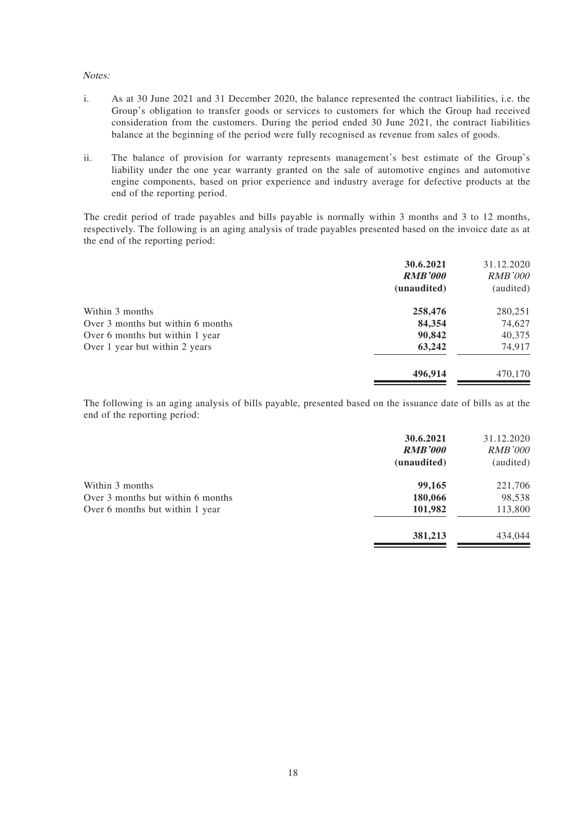#### Notes:

- i. As at 30 June 2021 and 31 December 2020, the balance represented the contract liabilities, i.e. the Group's obligation to transfer goods or services to customers for which the Group had received consideration from the customers. During the period ended 30 June 2021, the contract liabilities balance at the beginning of the period were fully recognised as revenue from sales of goods.
- ii. The balance of provision for warranty represents management's best estimate of the Group's liability under the one year warranty granted on the sale of automotive engines and automotive engine components, based on prior experience and industry average for defective products at the end of the reporting period.

The credit period of trade payables and bills payable is normally within 3 months and 3 to 12 months, respectively. The following is an aging analysis of trade payables presented based on the invoice date as at the end of the reporting period:

| 30.6.2021      | 31.12.2020     |
|----------------|----------------|
| <b>RMB'000</b> | <i>RMB'000</i> |
| (unaudited)    | (audited)      |
| 258,476        | 280,251        |
| 84,354         | 74,627         |
| 90,842         | 40,375         |
| 63,242         | 74,917         |
| 496,914        | 470,170        |
|                |                |

The following is an aging analysis of bills payable, presented based on the issuance date of bills as at the end of the reporting period:

|                                   | 30.6.2021<br><b>RMB'000</b><br>(unaudited) | 31.12.2020<br><b>RMB'000</b><br>(audited) |
|-----------------------------------|--------------------------------------------|-------------------------------------------|
| Within 3 months                   | 99,165                                     | 221,706                                   |
| Over 3 months but within 6 months | 180,066                                    | 98,538                                    |
| Over 6 months but within 1 year   | 101,982                                    | 113,800                                   |
|                                   | 381,213                                    | 434,044                                   |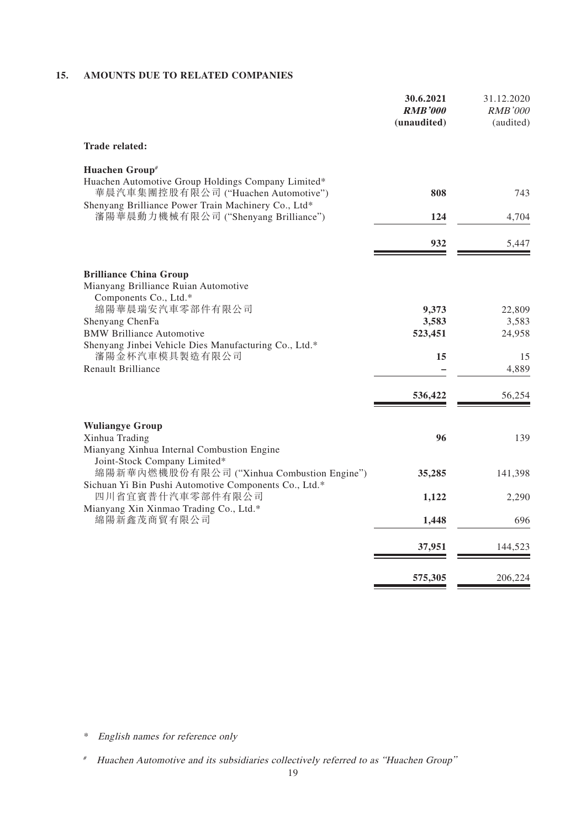### **15. AMOUNTS DUE TO RELATED COMPANIES**

| 30.6.2021<br><b>RMB'000</b><br>(unaudited) | 31.12.2020<br><i>RMB'000</i><br>(audited) |
|--------------------------------------------|-------------------------------------------|
|                                            |                                           |
|                                            | 743                                       |
|                                            |                                           |
|                                            | 4,704                                     |
| 932                                        | 5,447                                     |
|                                            |                                           |
| 9,373                                      | 22,809                                    |
| 3,583                                      | 3,583                                     |
|                                            | 24,958                                    |
| 15                                         | 15                                        |
|                                            | 4,889                                     |
| 536,422                                    | 56,254                                    |
|                                            |                                           |
|                                            | 139                                       |
| 35,285                                     | 141,398                                   |
| 1,122                                      | 2,290                                     |
| 1,448                                      | 696                                       |
| 37,951                                     | 144,523                                   |
| 575,305                                    | 206,224                                   |
|                                            | 808<br>124<br>523,451<br>96               |

\* English names for reference only

<sup>#</sup> Huachen Automotive and its subsidiaries collectively referred to as "Huachen Group"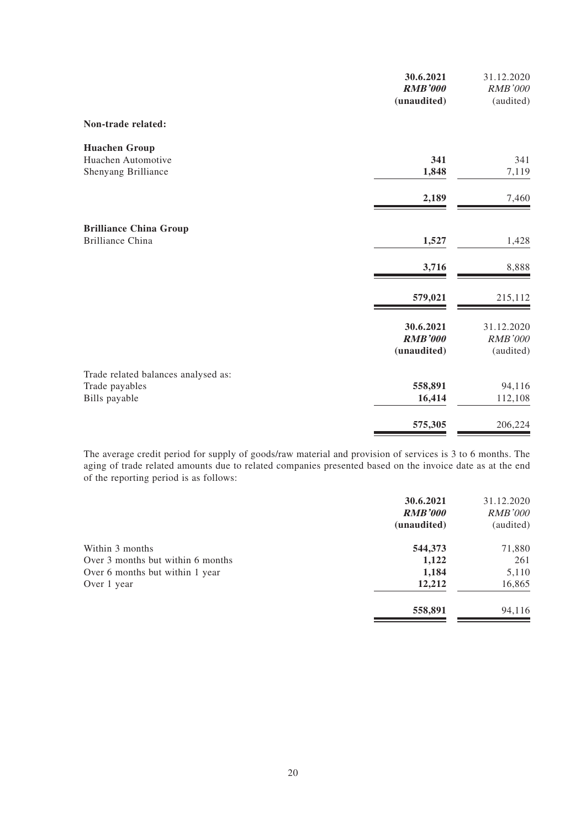|                                           | 30.6.2021<br><b>RMB'000</b><br>(unaudited) | 31.12.2020<br>RMB'000<br>(audited) |
|-------------------------------------------|--------------------------------------------|------------------------------------|
| Non-trade related:                        |                                            |                                    |
| <b>Huachen Group</b>                      | 341                                        |                                    |
| Huachen Automotive<br>Shenyang Brilliance | 1,848                                      | 341<br>7,119                       |
|                                           | 2,189                                      | 7,460                              |
| <b>Brilliance China Group</b>             |                                            |                                    |
| <b>Brilliance China</b>                   | 1,527                                      | 1,428                              |
|                                           | 3,716                                      | 8,888                              |
|                                           | 579,021                                    | 215,112                            |
|                                           | 30.6.2021                                  | 31.12.2020                         |
|                                           | <b>RMB'000</b><br>(unaudited)              | <b>RMB'000</b><br>(audited)        |
| Trade related balances analysed as:       |                                            |                                    |
| Trade payables                            | 558,891                                    | 94,116                             |
| Bills payable                             | 16,414                                     | 112,108                            |
|                                           | 575,305                                    | 206,224                            |

The average credit period for supply of goods/raw material and provision of services is 3 to 6 months. The aging of trade related amounts due to related companies presented based on the invoice date as at the end of the reporting period is as follows:

|                                   | 30.6.2021      | 31.12.2020     |
|-----------------------------------|----------------|----------------|
|                                   | <b>RMB'000</b> | <b>RMB'000</b> |
|                                   | (unaudited)    | (audited)      |
| Within 3 months                   | 544,373        | 71,880         |
| Over 3 months but within 6 months | 1,122          | 261            |
| Over 6 months but within 1 year   | 1,184          | 5,110          |
| Over 1 year                       | 12,212         | 16,865         |
|                                   | 558,891        | 94,116         |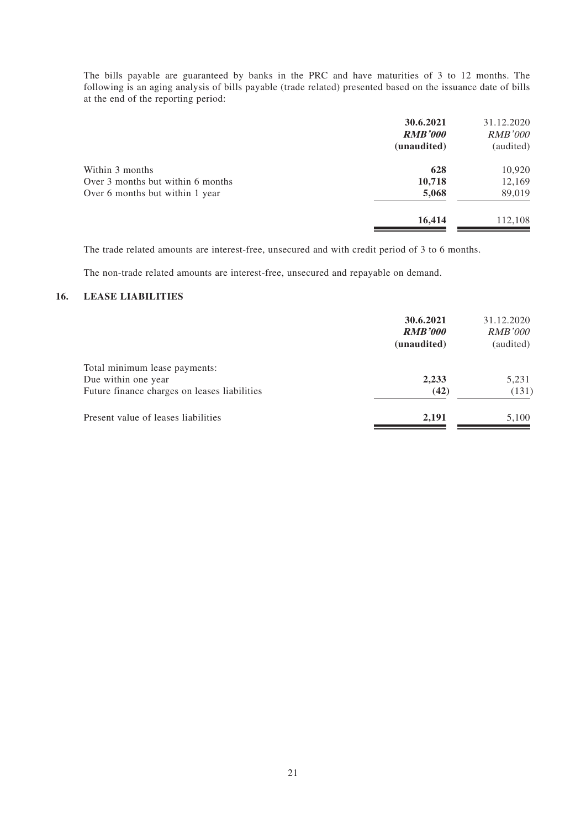The bills payable are guaranteed by banks in the PRC and have maturities of 3 to 12 months. The following is an aging analysis of bills payable (trade related) presented based on the issuance date of bills at the end of the reporting period:

| 31.12.2020<br><i>RMB'000</i><br>(audited) |
|-------------------------------------------|
| 10,920                                    |
| 12,169                                    |
| 89,019                                    |
| 112,108                                   |
|                                           |

The trade related amounts are interest-free, unsecured and with credit period of 3 to 6 months.

The non-trade related amounts are interest-free, unsecured and repayable on demand.

### **16. LEASE LIABILITIES**

|                                              | 30.6.2021<br><b>RMB'000</b><br>(unaudited) | 31.12.2020<br><i>RMB'000</i><br>(audited) |
|----------------------------------------------|--------------------------------------------|-------------------------------------------|
| Total minimum lease payments:                |                                            |                                           |
| Due within one year                          | 2,233                                      | 5,231                                     |
| Future finance charges on leases liabilities | (42)                                       | (131)                                     |
| Present value of leases liabilities          | 2,191                                      | 5,100                                     |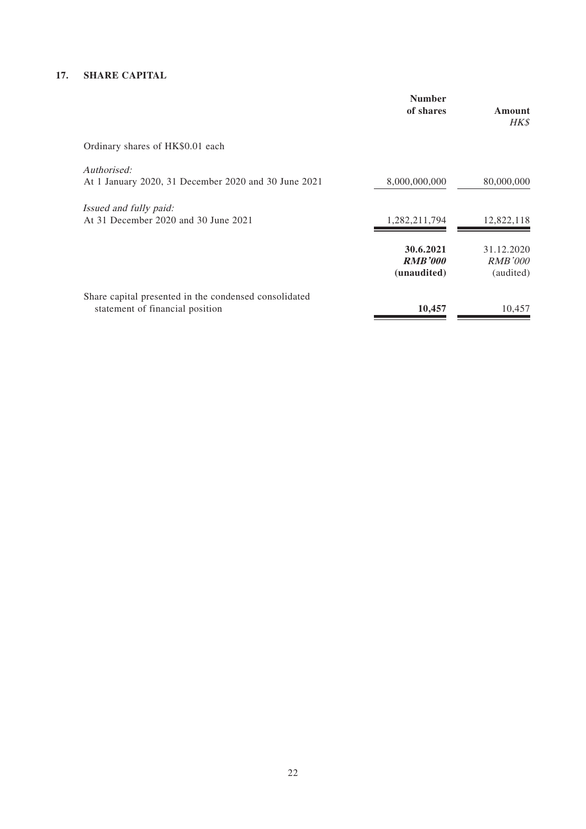### **17. SHARE CAPITAL**

|                                                                                          | <b>Number</b><br>of shares                 | Amount<br><b>HK\$</b>                     |
|------------------------------------------------------------------------------------------|--------------------------------------------|-------------------------------------------|
| Ordinary shares of HK\$0.01 each                                                         |                                            |                                           |
| Authorised:<br>At 1 January 2020, 31 December 2020 and 30 June 2021                      | 8,000,000,000                              | 80,000,000                                |
| <i>Issued and fully paid:</i><br>At 31 December 2020 and 30 June 2021                    | 1,282,211,794                              | 12,822,118                                |
|                                                                                          | 30.6.2021<br><b>RMB'000</b><br>(unaudited) | 31.12.2020<br><b>RMB'000</b><br>(audited) |
| Share capital presented in the condensed consolidated<br>statement of financial position | 10,457                                     | 10,457                                    |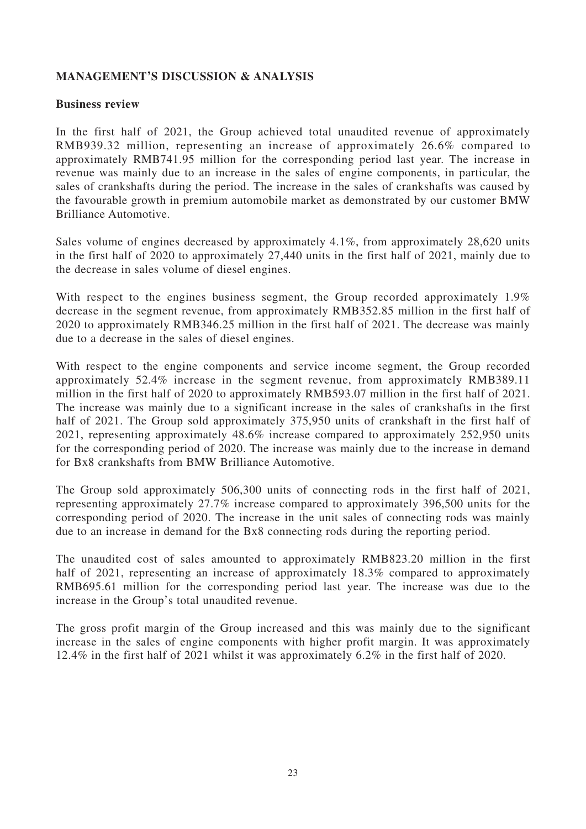# **MANAGEMENT'S DISCUSSION & ANALYSIS**

## **Business review**

In the first half of 2021, the Group achieved total unaudited revenue of approximately RMB939.32 million, representing an increase of approximately 26.6% compared to approximately RMB741.95 million for the corresponding period last year. The increase in revenue was mainly due to an increase in the sales of engine components, in particular, the sales of crankshafts during the period. The increase in the sales of crankshafts was caused by the favourable growth in premium automobile market as demonstrated by our customer BMW Brilliance Automotive.

Sales volume of engines decreased by approximately 4.1%, from approximately 28,620 units in the first half of 2020 to approximately 27,440 units in the first half of 2021, mainly due to the decrease in sales volume of diesel engines.

With respect to the engines business segment, the Group recorded approximately 1.9% decrease in the segment revenue, from approximately RMB352.85 million in the first half of 2020 to approximately RMB346.25 million in the first half of 2021. The decrease was mainly due to a decrease in the sales of diesel engines.

With respect to the engine components and service income segment, the Group recorded approximately 52.4% increase in the segment revenue, from approximately RMB389.11 million in the first half of 2020 to approximately RMB593.07 million in the first half of 2021. The increase was mainly due to a significant increase in the sales of crankshafts in the first half of 2021. The Group sold approximately 375,950 units of crankshaft in the first half of 2021, representing approximately 48.6% increase compared to approximately 252,950 units for the corresponding period of 2020. The increase was mainly due to the increase in demand for Bx8 crankshafts from BMW Brilliance Automotive.

The Group sold approximately 506,300 units of connecting rods in the first half of 2021, representing approximately 27.7% increase compared to approximately 396,500 units for the corresponding period of 2020. The increase in the unit sales of connecting rods was mainly due to an increase in demand for the Bx8 connecting rods during the reporting period.

The unaudited cost of sales amounted to approximately RMB823.20 million in the first half of 2021, representing an increase of approximately 18.3% compared to approximately RMB695.61 million for the corresponding period last year. The increase was due to the increase in the Group's total unaudited revenue.

The gross profit margin of the Group increased and this was mainly due to the significant increase in the sales of engine components with higher profit margin. It was approximately 12.4% in the first half of 2021 whilst it was approximately 6.2% in the first half of 2020.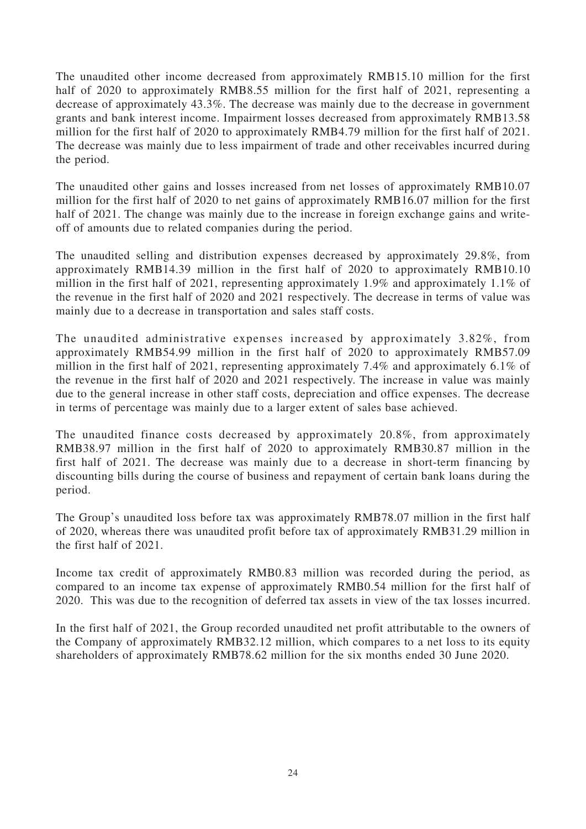The unaudited other income decreased from approximately RMB15.10 million for the first half of 2020 to approximately RMB8.55 million for the first half of 2021, representing a decrease of approximately 43.3%. The decrease was mainly due to the decrease in government grants and bank interest income. Impairment losses decreased from approximately RMB13.58 million for the first half of 2020 to approximately RMB4.79 million for the first half of 2021. The decrease was mainly due to less impairment of trade and other receivables incurred during the period.

The unaudited other gains and losses increased from net losses of approximately RMB10.07 million for the first half of 2020 to net gains of approximately RMB16.07 million for the first half of 2021. The change was mainly due to the increase in foreign exchange gains and writeoff of amounts due to related companies during the period.

The unaudited selling and distribution expenses decreased by approximately 29.8%, from approximately RMB14.39 million in the first half of 2020 to approximately RMB10.10 million in the first half of 2021, representing approximately 1.9% and approximately 1.1% of the revenue in the first half of 2020 and 2021 respectively. The decrease in terms of value was mainly due to a decrease in transportation and sales staff costs.

The unaudited administrative expenses increased by approximately 3.82%, from approximately RMB54.99 million in the first half of 2020 to approximately RMB57.09 million in the first half of 2021, representing approximately 7.4% and approximately 6.1% of the revenue in the first half of 2020 and 2021 respectively. The increase in value was mainly due to the general increase in other staff costs, depreciation and office expenses. The decrease in terms of percentage was mainly due to a larger extent of sales base achieved.

The unaudited finance costs decreased by approximately 20.8%, from approximately RMB38.97 million in the first half of 2020 to approximately RMB30.87 million in the first half of 2021. The decrease was mainly due to a decrease in short-term financing by discounting bills during the course of business and repayment of certain bank loans during the period.

The Group's unaudited loss before tax was approximately RMB78.07 million in the first half of 2020, whereas there was unaudited profit before tax of approximately RMB31.29 million in the first half of 2021.

Income tax credit of approximately RMB0.83 million was recorded during the period, as compared to an income tax expense of approximately RMB0.54 million for the first half of 2020. This was due to the recognition of deferred tax assets in view of the tax losses incurred.

In the first half of 2021, the Group recorded unaudited net profit attributable to the owners of the Company of approximately RMB32.12 million, which compares to a net loss to its equity shareholders of approximately RMB78.62 million for the six months ended 30 June 2020.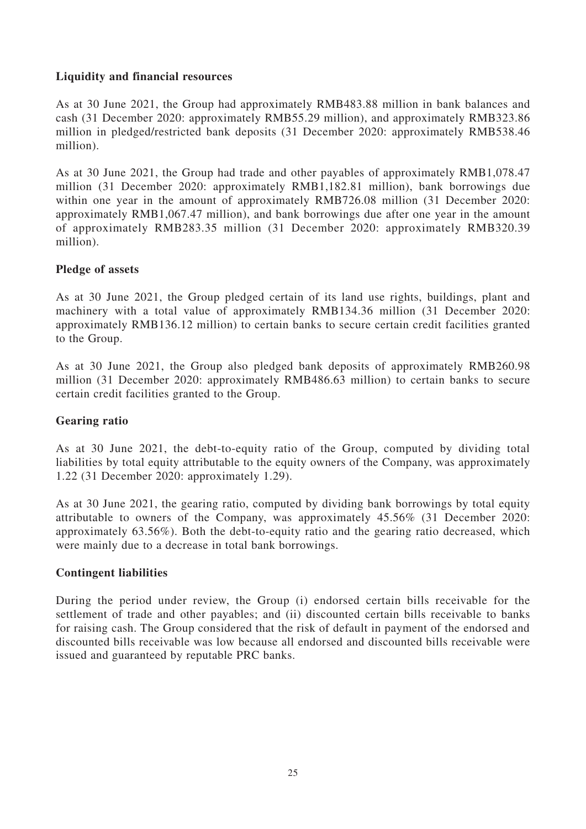# **Liquidity and financial resources**

As at 30 June 2021, the Group had approximately RMB483.88 million in bank balances and cash (31 December 2020: approximately RMB55.29 million), and approximately RMB323.86 million in pledged/restricted bank deposits (31 December 2020: approximately RMB538.46 million).

As at 30 June 2021, the Group had trade and other payables of approximately RMB1,078.47 million (31 December 2020: approximately RMB1,182.81 million), bank borrowings due within one year in the amount of approximately RMB726.08 million (31 December 2020: approximately RMB1,067.47 million), and bank borrowings due after one year in the amount of approximately RMB283.35 million (31 December 2020: approximately RMB320.39 million).

# **Pledge of assets**

As at 30 June 2021, the Group pledged certain of its land use rights, buildings, plant and machinery with a total value of approximately RMB134.36 million (31 December 2020: approximately RMB136.12 million) to certain banks to secure certain credit facilities granted to the Group.

As at 30 June 2021, the Group also pledged bank deposits of approximately RMB260.98 million (31 December 2020: approximately RMB486.63 million) to certain banks to secure certain credit facilities granted to the Group.

# **Gearing ratio**

As at 30 June 2021, the debt-to-equity ratio of the Group, computed by dividing total liabilities by total equity attributable to the equity owners of the Company, was approximately 1.22 (31 December 2020: approximately 1.29).

As at 30 June 2021, the gearing ratio, computed by dividing bank borrowings by total equity attributable to owners of the Company, was approximately 45.56% (31 December 2020: approximately 63.56%). Both the debt-to-equity ratio and the gearing ratio decreased, which were mainly due to a decrease in total bank borrowings.

# **Contingent liabilities**

During the period under review, the Group (i) endorsed certain bills receivable for the settlement of trade and other payables; and (ii) discounted certain bills receivable to banks for raising cash. The Group considered that the risk of default in payment of the endorsed and discounted bills receivable was low because all endorsed and discounted bills receivable were issued and guaranteed by reputable PRC banks.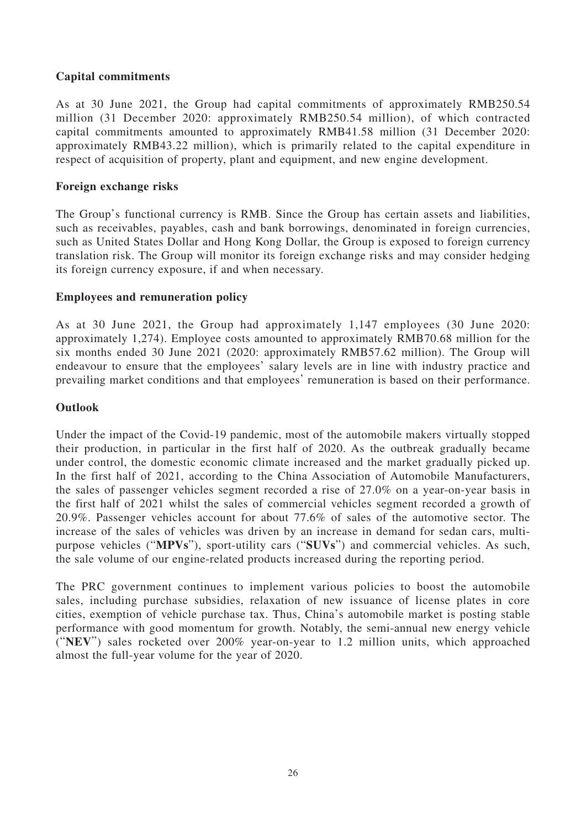# **Capital commitments**

As at 30 June 2021, the Group had capital commitments of approximately RMB250.54 million (31 December 2020: approximately RMB250.54 million), of which contracted capital commitments amounted to approximately RMB41.58 million (31 December 2020: approximately RMB43.22 million), which is primarily related to the capital expenditure in respect of acquisition of property, plant and equipment, and new engine development.

# **Foreign exchange risks**

The Group's functional currency is RMB. Since the Group has certain assets and liabilities, such as receivables, payables, cash and bank borrowings, denominated in foreign currencies, such as United States Dollar and Hong Kong Dollar, the Group is exposed to foreign currency translation risk. The Group will monitor its foreign exchange risks and may consider hedging its foreign currency exposure, if and when necessary.

# **Employees and remuneration policy**

As at 30 June 2021, the Group had approximately 1,147 employees (30 June 2020: approximately 1,274). Employee costs amounted to approximately RMB70.68 million for the six months ended 30 June 2021 (2020: approximately RMB57.62 million). The Group will endeavour to ensure that the employees' salary levels are in line with industry practice and prevailing market conditions and that employees' remuneration is based on their performance.

# **Outlook**

Under the impact of the Covid-19 pandemic, most of the automobile makers virtually stopped their production, in particular in the first half of 2020. As the outbreak gradually became under control, the domestic economic climate increased and the market gradually picked up. In the first half of 2021, according to the China Association of Automobile Manufacturers, the sales of passenger vehicles segment recorded a rise of 27.0% on a year-on-year basis in the first half of 2021 whilst the sales of commercial vehicles segment recorded a growth of 20.9%. Passenger vehicles account for about 77.6% of sales of the automotive sector. The increase of the sales of vehicles was driven by an increase in demand for sedan cars, multipurpose vehicles ("**MPVs**"), sport-utility cars ("**SUVs**") and commercial vehicles. As such, the sale volume of our engine-related products increased during the reporting period.

The PRC government continues to implement various policies to boost the automobile sales, including purchase subsidies, relaxation of new issuance of license plates in core cities, exemption of vehicle purchase tax. Thus, China's automobile market is posting stable performance with good momentum for growth. Notably, the semi-annual new energy vehicle ("**NEV**") sales rocketed over 200% year-on-year to 1.2 million units, which approached almost the full-year volume for the year of 2020.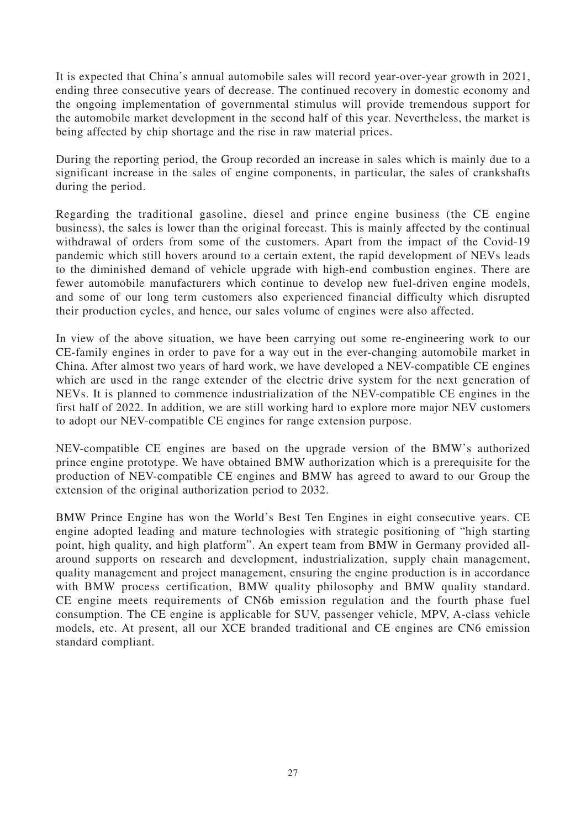It is expected that China's annual automobile sales will record year-over-year growth in 2021, ending three consecutive years of decrease. The continued recovery in domestic economy and the ongoing implementation of governmental stimulus will provide tremendous support for the automobile market development in the second half of this year. Nevertheless, the market is being affected by chip shortage and the rise in raw material prices.

During the reporting period, the Group recorded an increase in sales which is mainly due to a significant increase in the sales of engine components, in particular, the sales of crankshafts during the period.

Regarding the traditional gasoline, diesel and prince engine business (the CE engine business), the sales is lower than the original forecast. This is mainly affected by the continual withdrawal of orders from some of the customers. Apart from the impact of the Covid-19 pandemic which still hovers around to a certain extent, the rapid development of NEVs leads to the diminished demand of vehicle upgrade with high-end combustion engines. There are fewer automobile manufacturers which continue to develop new fuel-driven engine models, and some of our long term customers also experienced financial difficulty which disrupted their production cycles, and hence, our sales volume of engines were also affected.

In view of the above situation, we have been carrying out some re-engineering work to our CE-family engines in order to pave for a way out in the ever-changing automobile market in China. After almost two years of hard work, we have developed a NEV-compatible CE engines which are used in the range extender of the electric drive system for the next generation of NEVs. It is planned to commence industrialization of the NEV-compatible CE engines in the first half of 2022. In addition, we are still working hard to explore more major NEV customers to adopt our NEV-compatible CE engines for range extension purpose.

NEV-compatible CE engines are based on the upgrade version of the BMW's authorized prince engine prototype. We have obtained BMW authorization which is a prerequisite for the production of NEV-compatible CE engines and BMW has agreed to award to our Group the extension of the original authorization period to 2032.

BMW Prince Engine has won the World's Best Ten Engines in eight consecutive years. CE engine adopted leading and mature technologies with strategic positioning of "high starting point, high quality, and high platform". An expert team from BMW in Germany provided allaround supports on research and development, industrialization, supply chain management, quality management and project management, ensuring the engine production is in accordance with BMW process certification, BMW quality philosophy and BMW quality standard. CE engine meets requirements of CN6b emission regulation and the fourth phase fuel consumption. The CE engine is applicable for SUV, passenger vehicle, MPV, A-class vehicle models, etc. At present, all our XCE branded traditional and CE engines are CN6 emission standard compliant.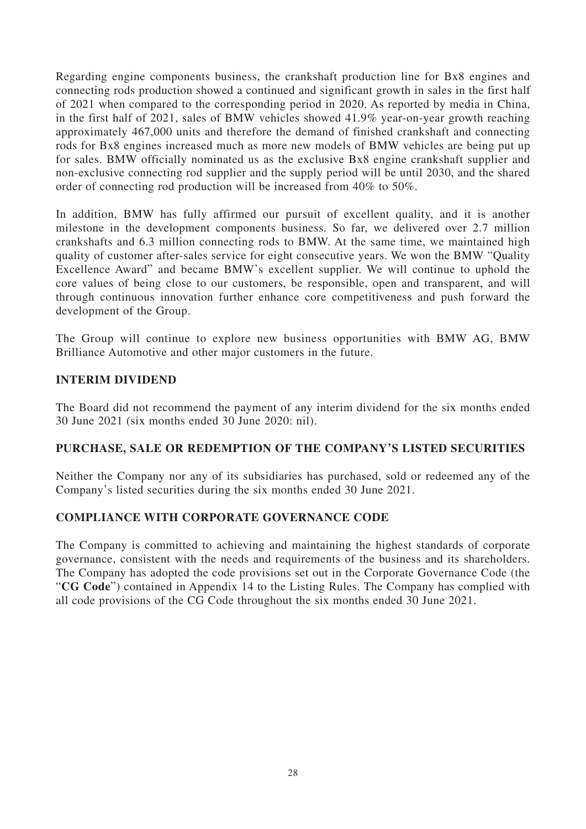Regarding engine components business, the crankshaft production line for Bx8 engines and connecting rods production showed a continued and significant growth in sales in the first half of 2021 when compared to the corresponding period in 2020. As reported by media in China, in the first half of 2021, sales of BMW vehicles showed 41.9% year-on-year growth reaching approximately 467,000 units and therefore the demand of finished crankshaft and connecting rods for Bx8 engines increased much as more new models of BMW vehicles are being put up for sales. BMW officially nominated us as the exclusive Bx8 engine crankshaft supplier and non-exclusive connecting rod supplier and the supply period will be until 2030, and the shared order of connecting rod production will be increased from 40% to 50%.

In addition, BMW has fully affirmed our pursuit of excellent quality, and it is another milestone in the development components business. So far, we delivered over 2.7 million crankshafts and 6.3 million connecting rods to BMW. At the same time, we maintained high quality of customer after-sales service for eight consecutive years. We won the BMW "Quality Excellence Award" and became BMW's excellent supplier. We will continue to uphold the core values of being close to our customers, be responsible, open and transparent, and will through continuous innovation further enhance core competitiveness and push forward the development of the Group.

The Group will continue to explore new business opportunities with BMW AG, BMW Brilliance Automotive and other major customers in the future.

# **INTERIM DIVIDEND**

The Board did not recommend the payment of any interim dividend for the six months ended 30 June 2021 (six months ended 30 June 2020: nil).

### **PURCHASE, SALE OR REDEMPTION OF THE COMPANY'S LISTED SECURITIES**

Neither the Company nor any of its subsidiaries has purchased, sold or redeemed any of the Company's listed securities during the six months ended 30 June 2021.

### **COMPLIANCE WITH CORPORATE GOVERNANCE CODE**

The Company is committed to achieving and maintaining the highest standards of corporate governance, consistent with the needs and requirements of the business and its shareholders. The Company has adopted the code provisions set out in the Corporate Governance Code (the "**CG Code**") contained in Appendix 14 to the Listing Rules. The Company has complied with all code provisions of the CG Code throughout the six months ended 30 June 2021.